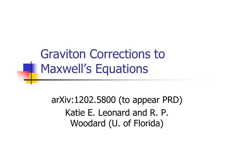Graviton Corrections to **H. Maxwell's Equations** 

> arXiv:1202.5800 (to appear PRD)Katie E. Leonard and R. P. Woodard (U. of Florida)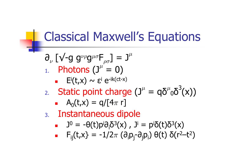#### Classical Maxwell's Equations

- $\boldsymbol{\partial}_{\nu}$  $_{\nu}$  [√-g g $^{\nu\rho}$  $\bm{\mathsf{g}}^{\mu \sigma} \bm{\mathsf{F}}_{\rho \sigma} \bm{\mathsf{J}} = \bm{\mathsf{J}}^\mu$  $_{1.}$  Photons (J $^{\mu}$  = 0)
	- $\blacksquare$   $\blacksquare$   $\blacksquare$   $\blacksquare$   $\blacksquare$   $\blacksquare$   $\blacksquare$   $\blacksquare$   $\blacksquare$   $\blacksquare$   $\blacksquare$   $\blacksquare$   $\blacksquare$   $\blacksquare$ i
- 2.Static point charge  $(J^{\mu} = q\delta^{\mu})$  $^{\mu}$ <sub>0</sub> $\overline{\mathcal{O}}^3$ (x))

$$
\bullet \quad A_0(t,x) = q/[4\pi r]
$$

- 3.**Instantaneous dipole**<br>July 10 = - Acthola 53cx 1
	- × J $^0$  = -θ(t)pʲ $\partial$ <sub>i</sub>δ $^3$ (x) , Jʲ = pʲδ(t)δ $^3$ (x) i
	- $F_{ij}(t,x) = -1/2\pi \left(\partial_i p_j \partial_j p_i\right) \theta(t)$  $\blacksquare$  $\pi$  $\pi$  (∂<sub>i</sub>p<sub>j</sub>-∂<sub>j</sub>p<sub>i</sub>) θ(t) δ(r<sup>2</sup>—t<sup>2</sup> 2)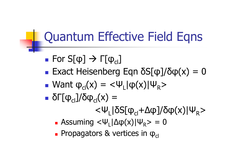# Quantum Effective Field Eqns

- **Service Service**  $\blacksquare$  For S[φ]  $\rightarrow \Gamma[\phi_{\text{cl}}]$
- **Exact Heisenberg Eqn**  $\delta S[\phi]/\delta \phi(x) = 0$ <br>Want  $\delta S(x) = \epsilon W[\cos(x)]$
- **Service Service**  $\blacksquare$  Want  $\phi_{\text{cl}}(x) = \langle \Psi_{\text{L}} | \phi(x) | \Psi_{\text{R}}$ >
- $\bullet$  δΓ[φ<sub>cl</sub>]/δφ<sub>cl</sub>(x) =
	- <Ψ<sub>L</sub>|δS[φ<sub>cl</sub>+Δφ]/δφ(x)|Ψ<sub>R</sub> >
	- $\blacksquare$  Assuming  $<$  $\blacksquare$  Assuming  $<\!\Psi_{\sf L}|\Delta\phi(x)|\Psi_{\sf R}\!\!> = 0$
	- $\blacksquare$ **•** Propagators & vertices in  $φ_$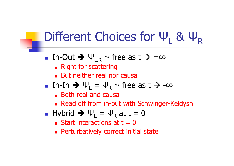#### Different Choices for ΨL & ΨR

- In-Out  $\rightarrow \Psi_{L,R}$   $\sim$  free as t  $\rightarrow \pm \infty$ <br>= Right for scattering
	- ∎ NUIIL **Right for scattering**
	- o, **But neither real nor causal**
- $\blacksquare$  In-In  $\blacktriangleright \Downarrow_{\mathsf{L}}$  $_{\mathsf{L}} = \mathsf{U}$ R $_{\rm R}$  ~ free as t  $\rightarrow$  -∞<br> $_{\rm u|cal}$ 
	- ∎ botn real and **Both real and causal**
	- o, Read off from in-out with Schwinger-Keldysh
- T. ■ Hybrid ラ Ψ<sub>L</sub>  $_{\mathsf{L}}$  = Ψ R $R_{\rm R}$  at t = 0
	- Start Interaction Start interactions at  $t = 0$
	- o, **Perturbatively correct initial state**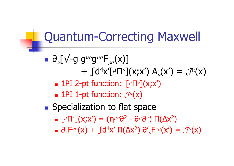### Quantum-Correcting Maxwell

- $∂<sub>ν</sub>[√-g g<sup>νρ</sup>g<sup>μσ</sup>F<sub>ρσ</sub>(x)]$  $+ \, \int\!{\rm d}^4{\mathsf x}'\llbracket^{\mu}$  $\mu\textsf{\textsf{m}}\nu\textsf{\textsf{j}}(\mathsf{X};\mathsf{X}')$   $\mathsf{A}_{\nu}(\mathsf{X}') = \mathcal{J}^{\mu}(\mathsf{X})$ 
	- ×  $\blacksquare$  1PI 2-pt function: i[ $^\mu$  $^{\mu}\mathsf{\Pi}^{\nu}](\mathsf{X};\mathsf{X}')$
	- $\blacksquare$  1PI 1-pt function:  $\mathcal{J}^\mu(\mathsf{x})$
- **Service Service Specialization to flat space** 
	- $\Box$   $[^{\mu} \Pi^{\nu}](X;X') = (\eta^{\mu\nu}\partial^2 \partial^{\mu}\partial^{\nu}) \ \Pi(\Delta X^2)$
	- $\bullet$   $\partial_{\nu}F^{\nu\mu}(x) + \int d^4x' \Pi(\Delta x^2) \partial'_{\nu}F^{\nu\mu}(x') = \mathcal{J}^{\mu}(x)$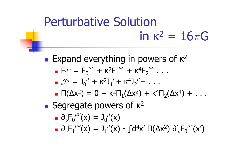# Perturbative Solution in κ $^2 = 16\pi$ G

- **Service Service Expand everything in powers of**  $\kappa^2$ 
	- $\blacksquare$  F $^{\mu\nu}$  = F $_0$  $^{\mu\nu}$  + K<sup>2</sup>  ${}^{2}\mathsf{F}_1$  $^{\mu\nu}$  + K<sup>4</sup>  $\mathrm{^{4}F_{2}}$  $\mu\nu$  . . .
	- Jµ = J0 $\mu$  + K<sup>2</sup>  $^2$ J $_1^{\mu}$ + K $^4$  $^4{\text{\J}}_2^{\,\mu}$ + ...
	- $\blacksquare$  Π(Δx<sup>2</sup>) = 0 + κ<sup>2</sup>  $^2\Pi_1(\Delta {\sf x}^2)\,+\,{\sf K}^4$  $^4\Pi_2(\Delta \mathsf{x}^4)$  +  $\ldots$
- **Segregate powers of**  $\kappa^2$ 
	- $\overline{\phantom{x}}$   $\partial_{\nu}\overline{\phantom{F}}_{0}^{\mu\nu}(\mathsf{x}) = \overline{\phantom{B}}_{0}^{\phantom{\mu}\mu}(\mathsf{x})$
	- $\mathbf{r}$  and  $\mathbf{r}$  and  $\mathbf{r}$  and  $\mathbf{r}$  and  $\mathbf{r}$  and  $\mathbf{r}$  and  $\mathbf{r}$  and  $\mathbf{r}$  and  $\mathbf{r}$  and  $\mathbf{r}$  and  $\mathbf{r}$  and  $\mathbf{r}$  and  $\mathbf{r}$  and  $\mathbf{r}$  and  $\mathbf{r}$  and  $\mathbf{r}$  and  $\mathbf{r}$  and  $\Box$   $\partial_\nu {\mathsf{F}_1}^{\mu\nu} (\mathsf{x}) = \mathsf{J}_1$  $\mu$ <sup>(</sup>x) - ∫d<sup>4</sup>x′ Π(Δx<sup>2</sup>) ∂΄  $\int_\nu\!{\sf F}_{0}^{\ \mu\nu} \!\!({\sf x}')$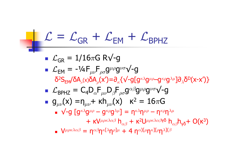$$
\mathcal{L} = \mathcal{L}_{GR} + \mathcal{L}_{EM} + \mathcal{L}_{BPHZ}
$$
\n
$$
\mathcal{L}_{GR} = 1/16\pi G \text{ RV-g}
$$
\n
$$
\mathcal{L}_{EM} = -\frac{1}{4}F_{\mu\nu}F_{\rho\sigma}g^{\mu\rho}g^{\nu\sigma}V-g
$$
\n
$$
\delta^2S_{EM}/\delta A_{\mu}(x)\delta A_{\rho}(x') = \partial_{\kappa}\left\{\sqrt{-g[g^{\kappa\lambda}g^{\mu\rho} - g^{\kappa\rho}g^{\lambda\mu}]\partial_{\lambda}\delta^D(x-x')\right\}}
$$
\n
$$
\mathcal{L}_{BPHZ} = C_4D_{\alpha}F_{\mu\nu}D_{\beta}F_{\rho\sigma}g^{\alpha\beta}g^{\mu\rho}g^{\nu\sigma}V-g
$$
\n
$$
= g_{\mu\nu}(x) = \eta_{\mu\nu} + \kappa h_{\mu\nu}(x) \quad \kappa^2 = 16\pi G
$$
\n
$$
\mathcal{L}_{BPHZ} = \left[g^{\kappa\lambda}g^{\mu\rho} - g^{\kappa\rho}g^{\lambda\mu}\right] = \eta^{\kappa\lambda}\eta^{\mu\rho} - \eta^{\kappa\rho}\eta^{\lambda\mu}
$$
\n
$$
+ \kappa V^{\mu\rho\kappa\lambda\alpha\beta} h_{\alpha\beta} + \kappa^2 U^{\mu\rho\kappa\lambda\alpha\beta\gamma\delta} h_{\alpha\beta} h_{\gamma\delta} + O(\kappa^3)
$$
\n
$$
\mathcal{L}_{HPRX}\left(\mathcal{L}_{BPHZ} = \eta^{\alpha\beta}\eta^{\kappa[\lambda}\eta^{\rho]\mu} + 4 \eta^{\alpha[\mu}\eta^{\kappa}H^{\rho}\eta^{\lambda}]\right)
$$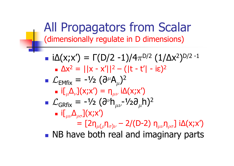All Propagators from Scalar(dimensionally regulate in D dimensions)

**Service Service**  $\blacksquare$  iΔ(x;x') = Γ(D/2 -1)/4 $\pi$ <sup>D/2</sup> (1/Δx<sup>2</sup> )D/2 -1  $\blacksquare$  $\Delta x^2 = ||x - x'||^2 - (|t - t'| - i\varepsilon)^2$ <br>
∴ 1⁄2 (2μΔ)  $\mathcal{L}_{EMfix}$  = -½ ( $\partial^{\mu}$  - if A 1(v·v') = r  $\mu$ Д  $_{\mu}$ )<sup>2</sup>  $\overline{\phantom{a}}$  i[ $\mu$  $\Delta_{\nu}$ ] $({\mathsf X};{\mathsf X}') = {\mathsf N}_{\mu\nu}$  i $\Delta({\mathsf X};{\mathsf X}')$ <br>——14 (Ə $\nu$ b—14 Ə **Service Service**  $\mathcal{L}_{GRfix}$  = -1/2 ( $\partial^{\nu}$ <br>- if A 1(y.y. h $_{\mu\nu}$ -½∂ $_{\mu}$ h) $^2$  $\blacksquare$ ■ i[ $\Delta_{\rho\sigma}$ ](x;x')  $=\,$  [2η $_{\mu(\rho}$ η $_{\sigma)\nu}$   $_{\nu}$  – 2/(D-2) η $_{\mu\nu}$ η $_{\rho\sigma}$ ] iΔ(x;x') **NB have both real and imaginary parts**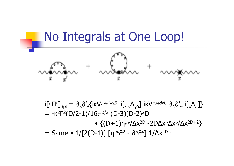

i $\llbracket \mu \bigcap \nu$  $= -\kappa^2 \Gamma^2(D)$  $\omega$ ] $_{3\text{pt}}$  =  $\partial_\kappa$ ∂ $'\partial_\theta$ {iκV $^{\mu\rho\kappa\lambda\alpha\beta}$  i[ $_{\alpha\beta}$ Δ $_{\gamma\delta}$ ] iκV $^{\nu\sigma\phi\theta}$ γδ  $\partial_\lambda$ ∂ $'\mathstrut_\phi$  i[ $_{\rho}$  $\Delta^{\vphantom{\dagger}}_\sigma]\}$ 2Γ2(D/2-1)/16 $\pi^{D/2}$  (D-3)(D-2)<sup>2</sup>  $^{2}D$  • {(D+1)ηµν/∆x2D -2D∆x µ∆x<sup>ν</sup>/∆x2D+2 }= Same • 1/[2(D-1)] [η $\mu\nu$ ∂<sup>2</sup> - ∂ $\mu$ ∂<sup>*v*</sup>] 1/Δx<sup>2D-2</sup>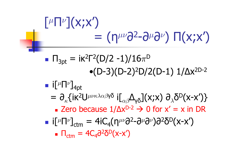# $\lceil \mu \lceil \nu \rceil (X;X')$  $=$  (η $\mu\nu$ ∂<sup>2</sup>-∂ $\mu$ ∂<sup> $\nu$ </sup>) Π(x;x')

- **Service Service**  $\blacksquare$  Π $_{\rm 3pt}$  = iκ $^{\rm 2}$ Γ $^{\rm 2}$ (D/2 -1)/16 $\pi^{\rm D}$  $\bullet$ (D-3)(D-2)<sup>2</sup>D/2(D-1) 1/ $\Delta$ x<sup>2D-2</sup>
- **Service Service**  $\blacksquare$  i[μΠ $\nu$ ] $_{\rm 4pt}$ 
	- =  $\partial_{\kappa}$ {iκ<sup>2</sup>U<sup>μνκλαβγδ</sup> i[<sub>αβ</sub>Δ<sub>γδ</sub>](x;x)  $\partial_{\lambda} \delta^{D}(x-x')$ }
		- Zero because  $1/\Delta x^{D-2}$   $\rightarrow$  0 for  $x' = x$  in DR
- **Service Service** ■ i[<sup>µ</sup>Π<sup>*v*</sup>]<sub>ctm</sub> = 4iC<sub>4</sub>(η<sup>μν</sup>∂<sup>2</sup>-∂<sup>µ</sup>∂<sup>*v*</sup>)∂<sup>2</sup>δ<sup>D</sup>(x-x')
	- $\blacksquare$ ■  $\Pi$ <sub>ctm</sub> = 4C<sub>4</sub>∂<sup>2</sup>δ<sup>D</sup>(x-x')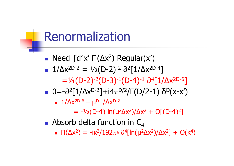### Renormalization

- Need  $\int d^4x' \Pi(\Delta x^2)$  Regular(x')<br>1/Ax2D-2 = 1/ (D 2)-2 22E1/Ax2E
- $\blacksquare$  1/Δx<sup>2D-2</sup> = ½(D-2)<sup>-2</sup> ∂<sup>2</sup>[1/Δx<sup>2D-4</sup>]
	- =¼(D-2)-2(D-3)-1(D-4)-1 ∂<sup>4</sup>[1/∆x2D-6 ]
- $0=-\frac{\partial^2[1/\Delta x^{D-2}]+i4\pi^{D/2}}{\Gamma(D/2-1)}\frac{\partial^D(x-x')}{\partial^D(x-x')}$

$$
1/\Delta x^{2D-6} - \mu^{D-4}/\Delta x^{D-2}
$$

= -½(D-4) ln(µ2∆x2)/∆x2 + O[(D-4)22]<br>]

T. **Absorb delta function in**  $C_4$ 

 o,  $\blacksquare$  Π(Δx<sup>2</sup>) = -iκ<sup>2</sup>/192 $\pi$ <sup>4</sup> ∂<sup>4</sup>[ln(μ<sup>2</sup>Δx<sup>2</sup>)/Δx<sup>2</sup>] + O(κ<sup>4</sup> <sup>4</sup>)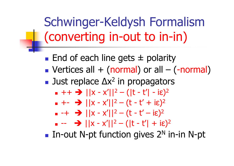Schwinger-Keldysh Formalism (converting in-out to in-in)

**Service Service** ■ End of each line gets ± polarity<br>■ Vertices all + (normal) or all – ( **Nectices all + (normal) or all – (-normal)**<br>- lust replace Ax<sup>2</sup> in propagators ■ Just replace  $\Delta x^2$  in propagators  $+ +$   $\rightarrow$   $||x - x'||^2 - (|t - t'| - i\varepsilon)^2$ <br>- +-  $\rightarrow$   $||y - y'||^2 - (t - t' + i\varepsilon)^2$  $+ - \rightarrow ||x - x'||^2 - (t - t' + i\varepsilon)^2$ <br>- -+  $\rightarrow ||y - y'||^2 - (t - t' - i\varepsilon)^2$  $-+$   $\rightarrow$   $||x - x'||^2 - (t - t' - i\varepsilon)^2$ <br> $- - \rightarrow$   $||x - x'||^2 - (t - t' - i\varepsilon)^2$  --  $\rightarrow$   $||x - x'||^2 - (|t - t'| + i\varepsilon)^2$ <br>  $+$  NL nt function gives  $2N$  i

 $\blacksquare$  In-out N-pt function gives 2<sup>N</sup> in-in N-pt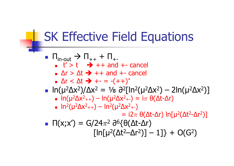# SK Effective Field Equations

 $\Pi_{\mathsf{in}\text{-} \mathsf{out}} \mathrel{\Rightarrow} \Pi_{++} + \Pi_{+}$ ■ ∪ /  $t' > t \rightarrow ++$  and  $+-$  cancel<br>Ar  $> \Lambda t \rightarrow ++$  and  $+-$  cancel o, • Δr > Δt <del>-></del> ++ and +- cancel<br>• ^r < ^t <del>-></del> +- = -(++)<sup>\*</sup> o, ∆r < ∆t +- = -(++) \*■ ln(μ<sup>2</sup>Δx<sup>2</sup>)/Δx<sup>2</sup> = ½ ∂<sup>2</sup>[ln<sup>2</sup>(μ<sup>2</sup>Δx<sup>2</sup>) − 2ln(μ<sup>2</sup>Δx<sup>2</sup>)]<br>■ ln(u<sup>2</sup>Δx<sup>2</sup>++) − ln(u<sup>2</sup>Δx<sup>2</sup>+-) = iπ θ(Δt-Δr)  $\blacksquare$  In(u<sup>2</sup>Δx<sup>2</sup>++) — In(u<sup>2</sup>Δx<sup>2</sup>+-) = I $\pi$  θ = ln(μ<sup>2</sup>Δx<sup>2</sup>++) — ln(μ<sup>2</sup>Δx<sup>2</sup>+-) = iπ θ(Δt-Δr)<br>= ln<sup>2</sup>(μ2Λy<sup>2</sup>++) — ln<sup>2</sup>(μ2Λy<sup>2</sup>+)  $\sim$  0.000  $\sim$  0.000  $\sim$  0.000  $\sim$  0.000  $\sim$  0.000  $\sim$  0.000  $\sim$  0.000  $\sim$  0.000  $\sim$  0.000  $\sim$ o,  $\ln^2(\mu^2 \Delta x^2_{++}) - \ln^2(\mu^2 \Delta x^2_{+-})$ <br>= i2π  $=$  i2 $\pi$  θ(Δt-Δr) ln[μ²(Δt²-Δr²)]  $\blacksquare$  Π(x;x') = G/24  $[\ln[\mu^2(\Delta t^2-\Delta r^2)]-1]\} + O(G^2)$  $\pi$ 2<sup>2</sup> ∂<sup>6</sup>{θ(Δt-Δr)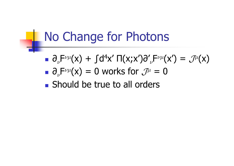#### No Change for Photons

- $\overline{\partial}_{\nu}F^{\nu\mu}(x) + \int d^4x' \ \Pi(x;x')\partial'$  ${}_{\nu}\mathsf{F}^{\nu\mu}(\mathsf{x}')=\mathcal{J}^{\mu}(\mathsf{x})$  $\bullet$   $\partial_\nu\mathsf{F}^{\nu\mu}(\mathsf{x})=0$  works for  $\mathcal{J}^\mu=0$
- **Service Service Should be true to all orders**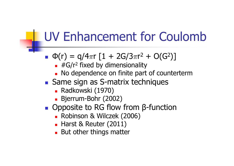# UV Enhancement for Coulomb

- T.  $\bullet \Phi(r) = q/4\pi r [1 + 2G/3\pi r^2 + O(G^2)]$ 
	- and the first state of the control of the cono,  $\blacksquare$  #G/r<sup>2</sup> fixed by dimensionality
	- o, **No dependence on finite part of counterterm**
- **Same sign as S-matrix techniques** 
	- o, • Radkowski (1970)<br>• Bierrum-Bohr (201
	- o, Bjerrum-Bohr (2002)
- T. ■ Opposite to RG flow from β-function
	- m. • Robinson & Wilczek (2006)<br>• Harst & Reuter (2011)
	- o, **Bullarst & Reuter (2011)<br>Rut other things matte .**
	- o, **But other things matter**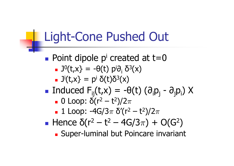#### Light-Cone Pushed Out

**Service Service Point dipole p' created at t=0** i $\blacksquare$  J<sup>0</sup>(t,x} = -θ(t) pʲ∂<sub>i</sub> δ<sup>3</sup>(x)  $\blacksquare$  Ji $(t,x) = p^{\mathsf{i}} \; \delta(t) \delta^3(x)$ i**Service Service** ■ Induced F<sub>ij</sub>(t,x) = -θ(t) (∂<sub>i</sub>p<sub>j</sub>  $_{j}$  -  $\partial_{j}$  $_{\rm j}$ p $_{\rm j}$ ) X  $\bullet$  0 Loop: δ(r<sup>2</sup>  $-$  t<sup>2</sup>)/2π<br>- 1 Loop: -4C/3π δ'(r<sup>2</sup>  $\sim$   $\sim$  $\blacksquare$  1 Loop: -4G/3**这个人都是一个人的人,我们也不能在这个人的人,我们也不能在这个人的人,我们也不能在这个人的人,我们也不能在这个人的人,我们也不能在这个人的人,我们**是我们的人,我  $\pi$  $\pi$  δ'(r<sup>2</sup> — t<sup>2</sup>)/2 $\pi$ **Service Service** ■ Hence  $\delta(r^2 - t^2 - 4G/3\pi) + O(G^2)$ • Super-Iuminal but Poincare inva 2) **Super-luminal but Poincare invariant**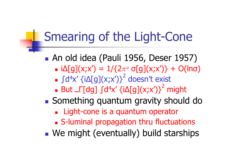# Smearing of the Light-Cone

- **Service Service** An old idea (Pauli 1956, Deser 1957)<br>An old idea (Pauli 1956, Deser 1957)
	- $\blacksquare$  i∆[g](x;x′) = 1/{2  $\pi^{\rm a}$  σ[g](x;x′)} + O(lnσ)
	- the contract of the con-× ■ ∫d<sup>4</sup>x' {i∆[g](x;x')}<sup>2</sup> doesn't exist<br>- But, F[da] (d4y' fi^[a](y;y')}<sup>2</sup> m
	- But \_Γ[dg] ∫d<sup>4</sup>x' {i∆[g](x;x')}<sup>2</sup> might<br>`omothing quantum qravity should
- **Something quantum gravity should do** 
	- × **Example 15 a quantum operator**
	- S-luminal propagation thru fluctuations
- We might (eventually) build starships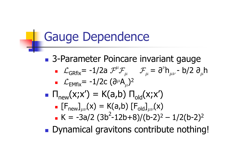#### Gauge Dependence

**Service Service** ■ 3-Parameter Poincare invariant gauge  $\mathcal{L}_{\mathsf{GRfix}}$ = -1/2a  $\mathcal{F}^{\mu}$   $\mathcal{F}_{\mu}$   $\mathcal{F}_{\mu}$  =  $\partial^{\nu}$ h $_{\mu\nu}$  - b/2 ∂  $\mu$ h $\mathcal{L}_{\mathsf{EMfix}}$ = -1/2c (∂ $^{\mu}$  $\mu$ Д  $_{\mu}$ )<sup>2</sup>  $\Pi_{\mathsf{new}}(\mathsf{x};\mathsf{x}') = \mathsf{K}(\mathsf{a},\mathsf{b}) \; \Pi_{\mathsf{old}}(\mathsf{x};\mathsf{x}')$  $\blacksquare$  $\blacksquare$   $\left[\mathsf{F}_{\mathsf{new}}\right]_{\mu\nu}$ (x) = K(a,b)  $\left[\mathsf{F}_{\mathsf{old}}\right]_{\mu\nu}$ (x)  $K = -3a/2 (3b^2-12b+8)/(b-2)^2 - 1/2(b-2)^2$ **Dynamical gravitons contribute nothing!**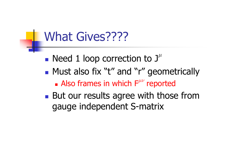#### What Gives????

- **Service Service**  $\blacksquare$  Need 1 loop correction to  $\boldsymbol{\rm J}^\mu$
- Must also fix "t" and "r" geometrically<br>Also frames in which  $F^{\mu\nu}$  reported
	- ×  $\blacksquare$  Also frames in which  $\mathsf{F}^{\mu\nu}$  reported
- **Service Service But our results agree with those from** gauge independent S-matrix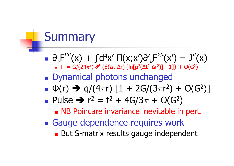# **Summary**

- **Service Service** ■  $\partial_{\nu}F^{\nu\mu}(x) + \int d^4x' \, \Pi(x;x') \partial'_{\nu}F^{\nu\mu}(x') = J^{\mu}(x)$ <br>■  $\Pi = G/(24\pi^2) \partial^6 \{ \theta(\Delta t - \Delta r) \, [\ln[\mu^2(\Delta t^2 - \Delta r^2)] - 1] \} + O(G^2)$ П = Π = G/(24π²) ∂<sup>6</sup> {θ(Δt-Δr) [ln[μ²(Δt²-Δr²)] - 1]} + O(G²)
- Dynamical photons unchanged<br>- m(r) > a/(4πr) [1 + 2G/(3πr<sup>2</sup>)
- **■** Φ(r) → q/(4πr) [1 + 2G/(3πr<sup>2</sup>) + O(G<sup>2</sup>)]<br>■ Pulse → r<sup>2</sup> t<sup>2</sup> + 4G/3π + O(G<sup>2</sup>)
- **Service Service Pulse**  $\rightarrow$   $r^2 = t^2 + 4G/3\pi + O(G^2)$ <br>**R** NB Poincare invariance inevitable in
	- **NB Poincare invariance inevitable in pert.**
- Gauge dependence requires work<br>Rut S-matrix results gauge indenend
	- × **But S-matrix results gauge independent**